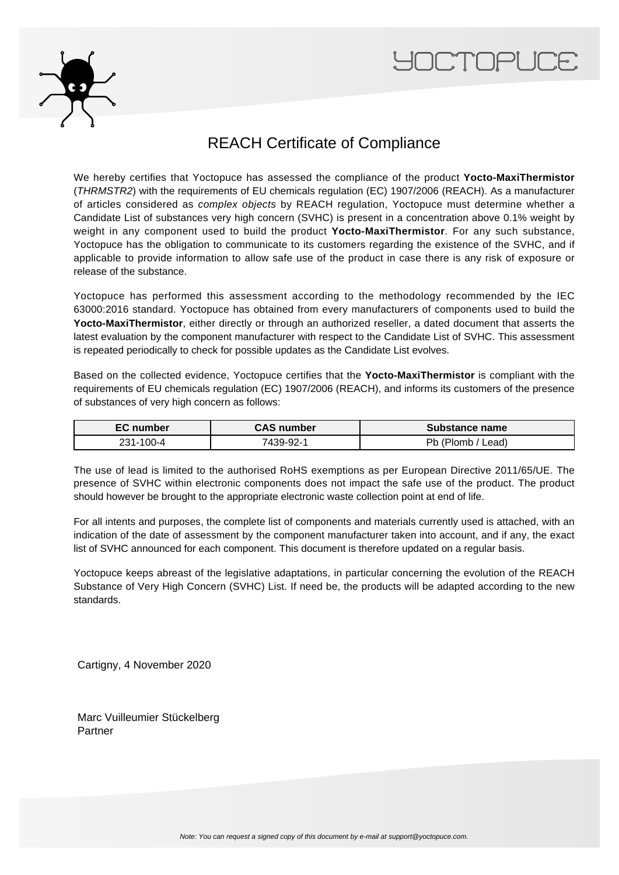



## REACH Certificate of Compliance

We hereby certifies that Yoctopuce has assessed the compliance of the product **Yocto-MaxiThermistor** (THRMSTR2) with the requirements of EU chemicals regulation (EC) 1907/2006 (REACH). As a manufacturer of articles considered as complex objects by REACH regulation, Yoctopuce must determine whether a Candidate List of substances very high concern (SVHC) is present in a concentration above 0.1% weight by weight in any component used to build the product **Yocto-MaxiThermistor**. For any such substance, Yoctopuce has the obligation to communicate to its customers regarding the existence of the SVHC, and if applicable to provide information to allow safe use of the product in case there is any risk of exposure or release of the substance.

Yoctopuce has performed this assessment according to the methodology recommended by the IEC 63000:2016 standard. Yoctopuce has obtained from every manufacturers of components used to build the **Yocto-MaxiThermistor**, either directly or through an authorized reseller, a dated document that asserts the latest evaluation by the component manufacturer with respect to the Candidate List of SVHC. This assessment is repeated periodically to check for possible updates as the Candidate List evolves.

Based on the collected evidence, Yoctopuce certifies that the **Yocto-MaxiThermistor** is compliant with the requirements of EU chemicals regulation (EC) 1907/2006 (REACH), and informs its customers of the presence of substances of very high concern as follows:

| <b>EC</b> number | <b>CAS number</b> | Substance name  |
|------------------|-------------------|-----------------|
| 231-100-4        | 7439-92-1         | _ead).<br>'lomb |

The use of lead is limited to the authorised RoHS exemptions as per European Directive 2011/65/UE. The presence of SVHC within electronic components does not impact the safe use of the product. The product should however be brought to the appropriate electronic waste collection point at end of life.

For all intents and purposes, the complete list of components and materials currently used is attached, with an indication of the date of assessment by the component manufacturer taken into account, and if any, the exact list of SVHC announced for each component. This document is therefore updated on a regular basis.

Yoctopuce keeps abreast of the legislative adaptations, in particular concerning the evolution of the REACH Substance of Very High Concern (SVHC) List. If need be, the products will be adapted according to the new standards.

Cartigny, 4 November 2020

Marc Vuilleumier Stückelberg Partner